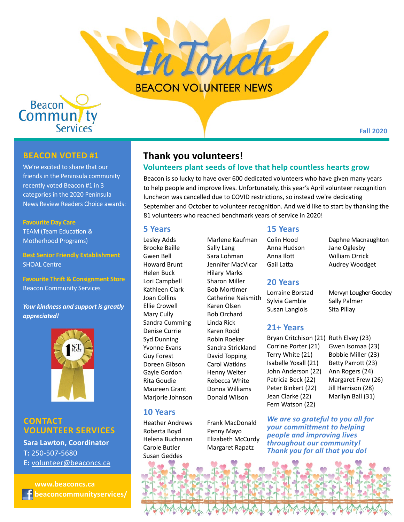

Beacon<br>Commun/ty **Services** 

# **Beacon voted #1**

We're excited to share that our friends in the Peninsula community recently voted Beacon #1 in 3 categories in the 2020 Peninsula News Review Readers Choice awards:

#### **Favourite Day Care**

TEAM (Team Education & Motherhood Programs)

**Best Senior Friendly Establishment** SHOAL Centre

**Favourite Thrift & Consignment Store** Beacon Community Services

*Your kindness and support is greatly appreciated!*



# **Contact VOLUNTEER SERVICES**

**Sara Lawton, Coordinator T:** 250-507-5680 **E:** [volunteer@beaconcs.ca](mailto:volunteer%40beaconcs.ca?subject=)

 **[www.beaconcs.ca](http://www.beaconcs.ca) [beaconcommunityservices/](http://www.facebook.com/beaconcommunityservices/)**

# **Thank you volunteers!**

## **Volunteers plant seeds of love that help countless hearts grow**

Beacon is so lucky to have over 600 dedicated volunteers who have given many years to help people and improve lives. Unfortunately, this year's April volunteer recognition luncheon was cancelled due to COVID restrictions, so instead we're dedicating September and October to volunteer recognition. And we'd like to start by thanking the 81 volunteers who reached benchmark years of service in 2020!

#### **5 Years**

Lesley Adds Brooke Baille Gwen Bell Howard Brunt Helen Buck Lori Campbell Kathleen Clark Joan Collins Ellie Crowell Mary Cully Sandra Cumming Denise Currie Syd Dunning Yvonne Evans Guy Forest Doreen Gibson Gayle Gordon Rita Goudie Maureen Grant Marjorie Johnson

## **10 Years**

Heather Andrews Roberta Boyd Helena Buchanan Carole Butler Susan Geddes

Marlene Kaufman Sally Lang Sara Lohman Jennifer MacVicar Hilary Marks Sharon Miller Bob Mortimer Catherine Naismith Karen Olsen Bob Orchard Linda Rick Karen Rodd Robin Roeker Sandra Strickland David Topping Carol Watkins Henny Welter Rebecca White Donna Williams Donald Wilson

## Frank MacDonald Penny Mayo Elizabeth McCurdy Margaret Rapatz

# Colin Hood Anna Hudson Anna Ilott **15 Years**

Gail Latta

### **20 Years**

Lorraine Borstad Sylvia Gamble Susan Langlois

### **21+ Years**

Bryan Critchison (21) Ruth Elvey (23) Corrine Porter (21) Terry White (21) Isabelle Yoxall (21) John Anderson (22) Patricia Beck (22) Peter Binkert (22) Jean Clarke (22) Fern Watson (22)

Gwen Isomaa (23) Bobbie Miller (23) Betty Parrott (23) Ann Rogers (24) Margaret Frew (26) Jill Harrison (28) Marilyn Ball (31)

*We are so grateful to you all for your committment to helping people and improving lives throughout our community! Thank you for all that you do!* 



Mervyn Lougher-Goodey

Sally Palmer Sita Pillay